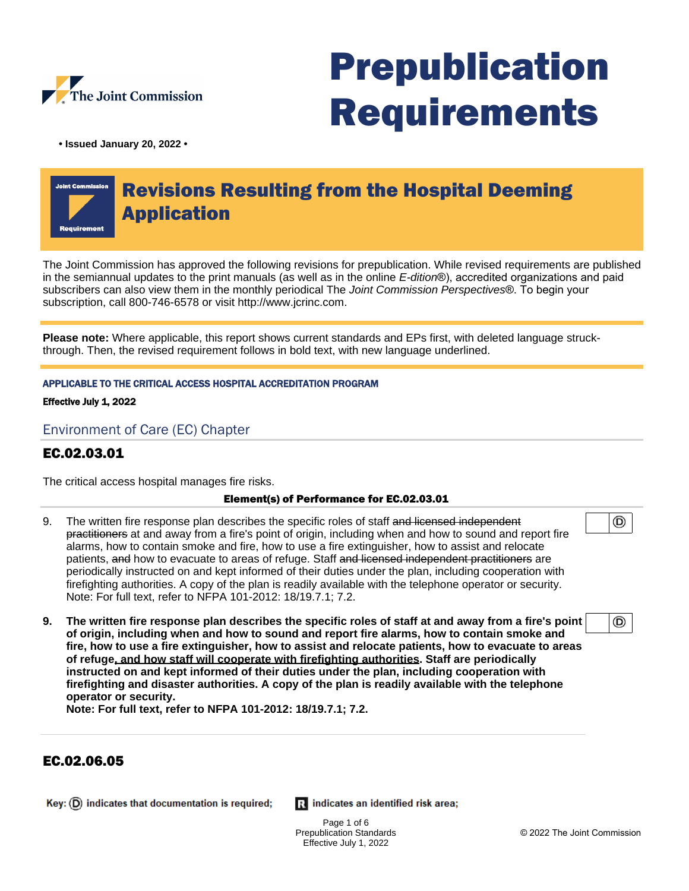

# Prepublication Requirements

**• Issued January 20, 2022 •**

# Revisions Resulting from the Hospital Deeming Application

The Joint Commission has approved the following revisions for prepublication. While revised requirements are published in the semiannual updates to the print manuals (as well as in the online E-dition®), accredited organizations and paid subscribers can also view them in the monthly periodical The Joint Commission Perspectives®. To begin your subscription, call 800-746-6578 or visit http://www.jcrinc.com.

**Please note:** Where applicable, this report shows current standards and EPs first, with deleted language struckthrough. Then, the revised requirement follows in bold text, with new language underlined.

#### APPLICABLE TO THE CRITICAL ACCESS HOSPITAL ACCREDITATION PROGRAM

Effective July 1, 2022

Environment of Care (EC) Chapter

# EC.02.03.01

The critical access hospital manages fire risks.

#### Element(s) of Performance for EC.02.03.01

- 9. The written fire response plan describes the specific roles of staff and licensed independent practitioners at and away from a fire's point of origin, including when and how to sound and report fire alarms, how to contain smoke and fire, how to use a fire extinguisher, how to assist and relocate patients, and how to evacuate to areas of refuge. Staff and licensed independent practitioners are periodically instructed on and kept informed of their duties under the plan, including cooperation with firefighting authorities. A copy of the plan is readily available with the telephone operator or security. Note: For full text, refer to NFPA 101-2012: 18/19.7.1; 7.2.
- ⊚

◉

**9. The written fire response plan describes the specific roles of staff at and away from a fire's point of origin, including when and how to sound and report fire alarms, how to contain smoke and fire, how to use a fire extinguisher, how to assist and relocate patients, how to evacuate to areas of refuge, and how staff will cooperate with firefighting authorities. Staff are periodically instructed on and kept informed of their duties under the plan, including cooperation with firefighting and disaster authorities. A copy of the plan is readily available with the telephone operator or security.** 

**Note: For full text, refer to NFPA 101-2012: 18/19.7.1; 7.2.**

# EC.02.06.05

Key:  $(D)$  indicates that documentation is required;

Ri indicates an identified risk area;

Page 1 of 6 Prepublication Standards Effective July 1, 2022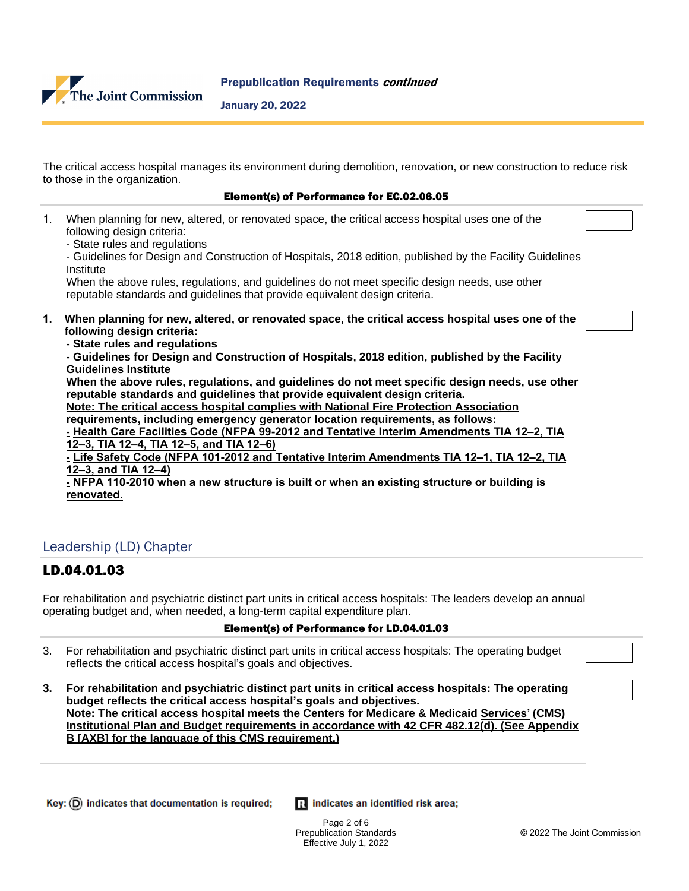

#### January 20, 2022

The critical access hospital manages its environment during demolition, renovation, or new construction to reduce risk to those in the organization.

#### Element(s) of Performance for EC.02.06.05

| 1. | When planning for new, altered, or renovated space, the critical access hospital uses one of the<br>following design criteria:<br>- State rules and regulations<br>- Guidelines for Design and Construction of Hospitals, 2018 edition, published by the Facility Guidelines<br>Institute<br>When the above rules, regulations, and guidelines do not meet specific design needs, use other<br>reputable standards and guidelines that provide equivalent design criteria.                                                                                                                                                                                                                                                                                                                                                                                                                                                                                                                                                             |  |
|----|----------------------------------------------------------------------------------------------------------------------------------------------------------------------------------------------------------------------------------------------------------------------------------------------------------------------------------------------------------------------------------------------------------------------------------------------------------------------------------------------------------------------------------------------------------------------------------------------------------------------------------------------------------------------------------------------------------------------------------------------------------------------------------------------------------------------------------------------------------------------------------------------------------------------------------------------------------------------------------------------------------------------------------------|--|
| 1. | When planning for new, altered, or renovated space, the critical access hospital uses one of the<br>following design criteria:<br>- State rules and regulations<br>- Guidelines for Design and Construction of Hospitals, 2018 edition, published by the Facility<br><b>Guidelines Institute</b><br>When the above rules, regulations, and guidelines do not meet specific design needs, use other<br>reputable standards and guidelines that provide equivalent design criteria.<br>Note: The critical access hospital complies with National Fire Protection Association<br>requirements, including emergency generator location requirements, as follows:<br>- Health Care Facilities Code (NFPA 99-2012 and Tentative Interim Amendments TIA 12-2, TIA<br>12-3, TIA 12-4, TIA 12-5, and TIA 12-6)<br>- Life Safety Code (NFPA 101-2012 and Tentative Interim Amendments TIA 12-1, TIA 12-2, TIA<br>12-3, and TIA 12-4)<br>- NFPA 110-2010 when a new structure is built or when an existing structure or building is<br>renovated. |  |
|    | Leadership (LD) Chapter                                                                                                                                                                                                                                                                                                                                                                                                                                                                                                                                                                                                                                                                                                                                                                                                                                                                                                                                                                                                                |  |

#### LD.04.01.03

For rehabilitation and psychiatric distinct part units in critical access hospitals: The leaders develop an annual operating budget and, when needed, a long-term capital expenditure plan.

#### Element(s) of Performance for LD.04.01.03

- 3. For rehabilitation and psychiatric distinct part units in critical access hospitals: The operating budget reflects the critical access hospital's goals and objectives.
- **3. For rehabilitation and psychiatric distinct part units in critical access hospitals: The operating budget reflects the critical access hospital's goals and objectives. Note: The critical access hospital meets the Centers for Medicare & Medicaid Services' (CMS) Institutional Plan and Budget requirements in accordance with 42 CFR 482.12(d). (See Appendix B [AXB] for the language of this CMS requirement.)**

| Key: $(D)$ indicates that documentation is required; | R indicates an identified risk area; |
|------------------------------------------------------|--------------------------------------|
|                                                      |                                      |

Page 2 of 6 Prepublication Standards Effective July 1, 2022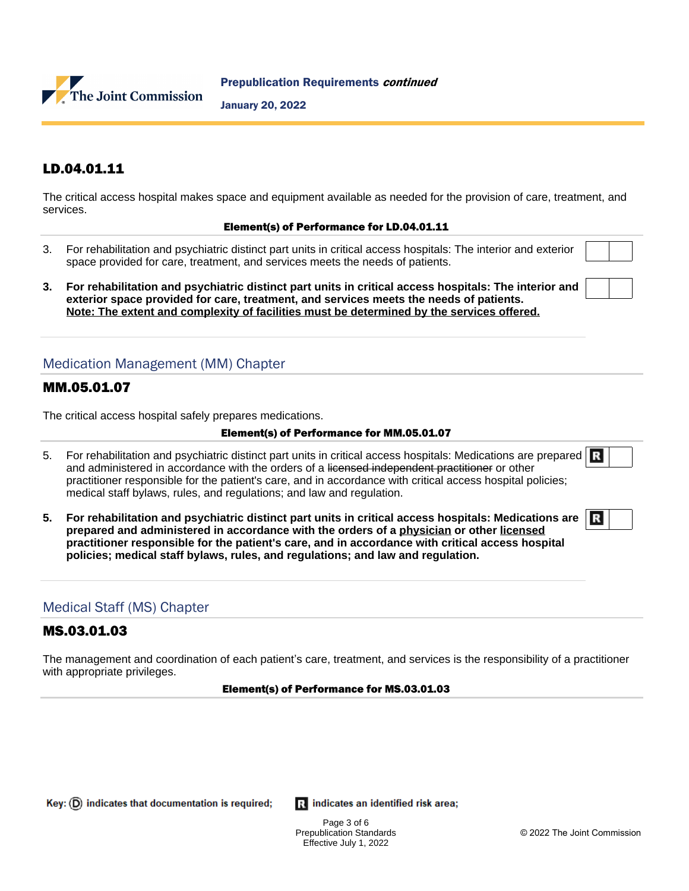

Prepublication Requirements continued

January 20, 2022

# LD.04.01.11

The critical access hospital makes space and equipment available as needed for the provision of care, treatment, and services.

#### Element(s) of Performance for LD.04.01.11

- 3. For rehabilitation and psychiatric distinct part units in critical access hospitals: The interior and exterior space provided for care, treatment, and services meets the needs of patients.
- **3. For rehabilitation and psychiatric distinct part units in critical access hospitals: The interior and exterior space provided for care, treatment, and services meets the needs of patients. Note: The extent and complexity of facilities must be determined by the services offered.**

# Medication Management (MM) Chapter

### MM.05.01.07

The critical access hospital safely prepares medications.

#### Element(s) of Performance for MM.05.01.07

- 5. For rehabilitation and psychiatric distinct part units in critical access hospitals: Medications are prepared R and administered in accordance with the orders of a licensed independent practitioner or other practitioner responsible for the patient's care, and in accordance with critical access hospital policies; medical staff bylaws, rules, and regulations; and law and regulation.
- **5. For rehabilitation and psychiatric distinct part units in critical access hospitals: Medications are prepared and administered in accordance with the orders of a physician or other licensed practitioner responsible for the patient's care, and in accordance with critical access hospital policies; medical staff bylaws, rules, and regulations; and law and regulation.**

# Medical Staff (MS) Chapter

# MS.03.01.03

The management and coordination of each patient's care, treatment, and services is the responsibility of a practitioner with appropriate privileges.

#### Element(s) of Performance for MS.03.01.03

Ri indicates an identified risk area;

Page 3 of 6 Prepublication Standards Effective July 1, 2022

R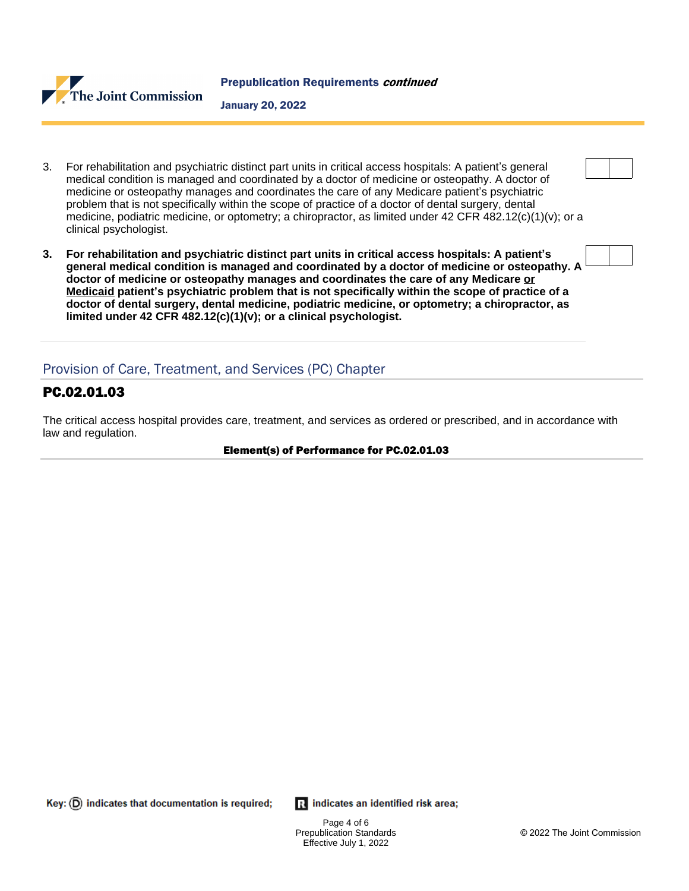

January 20, 2022

- 3. For rehabilitation and psychiatric distinct part units in critical access hospitals: A patient's general medical condition is managed and coordinated by a doctor of medicine or osteopathy. A doctor of medicine or osteopathy manages and coordinates the care of any Medicare patient's psychiatric problem that is not specifically within the scope of practice of a doctor of dental surgery, dental medicine, podiatric medicine, or optometry; a chiropractor, as limited under 42 CFR 482.12(c)(1)(v); or a clinical psychologist.
- **3. For rehabilitation and psychiatric distinct part units in critical access hospitals: A patient's general medical condition is managed and coordinated by a doctor of medicine or osteopathy. A doctor of medicine or osteopathy manages and coordinates the care of any Medicare or Medicaid patient's psychiatric problem that is not specifically within the scope of practice of a doctor of dental surgery, dental medicine, podiatric medicine, or optometry; a chiropractor, as limited under 42 CFR 482.12(c)(1)(v); or a clinical psychologist.**

# Provision of Care, Treatment, and Services (PC) Chapter

# PC.02.01.03

The critical access hospital provides care, treatment, and services as ordered or prescribed, and in accordance with law and regulation.

#### Element(s) of Performance for PC.02.01.03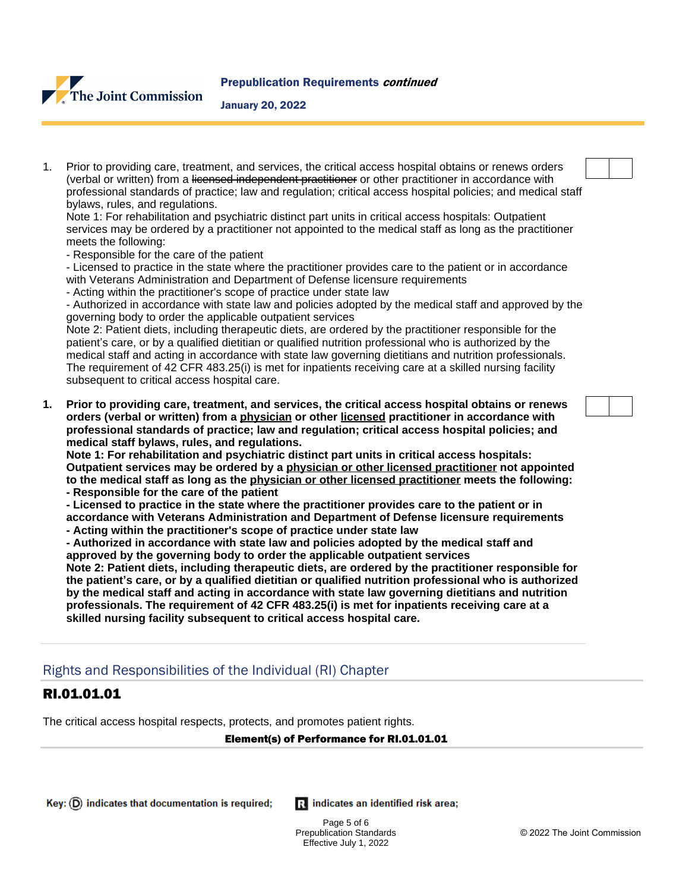

#### January 20, 2022

1. Prior to providing care, treatment, and services, the critical access hospital obtains or renews orders (verbal or written) from a licensed independent practitioner or other practitioner in accordance with professional standards of practice; law and regulation; critical access hospital policies; and medical staff bylaws, rules, and regulations.

Note 1: For rehabilitation and psychiatric distinct part units in critical access hospitals: Outpatient services may be ordered by a practitioner not appointed to the medical staff as long as the practitioner meets the following:

- Responsible for the care of the patient

- Licensed to practice in the state where the practitioner provides care to the patient or in accordance with Veterans Administration and Department of Defense licensure requirements

- Acting within the practitioner's scope of practice under state law

- Authorized in accordance with state law and policies adopted by the medical staff and approved by the governing body to order the applicable outpatient services

Note 2: Patient diets, including therapeutic diets, are ordered by the practitioner responsible for the patient's care, or by a qualified dietitian or qualified nutrition professional who is authorized by the medical staff and acting in accordance with state law governing dietitians and nutrition professionals. The requirement of 42 CFR 483.25(i) is met for inpatients receiving care at a skilled nursing facility subsequent to critical access hospital care.

**1. Prior to providing care, treatment, and services, the critical access hospital obtains or renews orders (verbal or written) from a physician or other licensed practitioner in accordance with professional standards of practice; law and regulation; critical access hospital policies; and medical staff bylaws, rules, and regulations.**

**Note 1: For rehabilitation and psychiatric distinct part units in critical access hospitals: Outpatient services may be ordered by a physician or other licensed practitioner not appointed to the medical staff as long as the physician or other licensed practitioner meets the following:**

- **Responsible for the care of the patient**
- **Licensed to practice in the state where the practitioner provides care to the patient or in accordance with Veterans Administration and Department of Defense licensure requirements**
- **Acting within the practitioner's scope of practice under state law**

**- Authorized in accordance with state law and policies adopted by the medical staff and approved by the governing body to order the applicable outpatient services**

**Note 2: Patient diets, including therapeutic diets, are ordered by the practitioner responsible for the patient's care, or by a qualified dietitian or qualified nutrition professional who is authorized by the medical staff and acting in accordance with state law governing dietitians and nutrition professionals. The requirement of 42 CFR 483.25(i) is met for inpatients receiving care at a skilled nursing facility subsequent to critical access hospital care.**

# Rights and Responsibilities of the Individual (RI) Chapter

# RI.01.01.01

The critical access hospital respects, protects, and promotes patient rights.

#### Element(s) of Performance for RI.01.01.01

 $\mathbf{R}$  indicates an identified risk area;

Page 5 of 6 Prepublication Standards Effective July 1, 2022